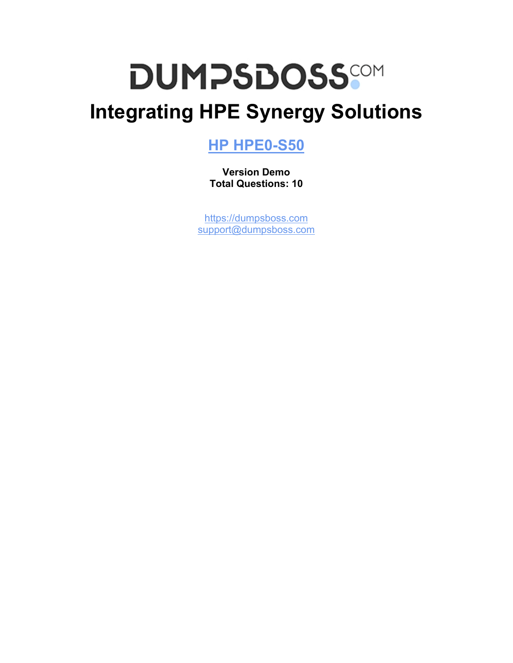# **DUMPSDOSS**

# **Integrating HPE Synergy Solutions**

### **[HP HPE0-S50](https://dumpsboss.com/hp-exam/hpe0-s50/)**

**Version Demo Total Questions: 10**

[https://dumpsboss.com](https://dumpsboss.com/) [support@dumpsboss.com](mailto:support@dumpsboss.com)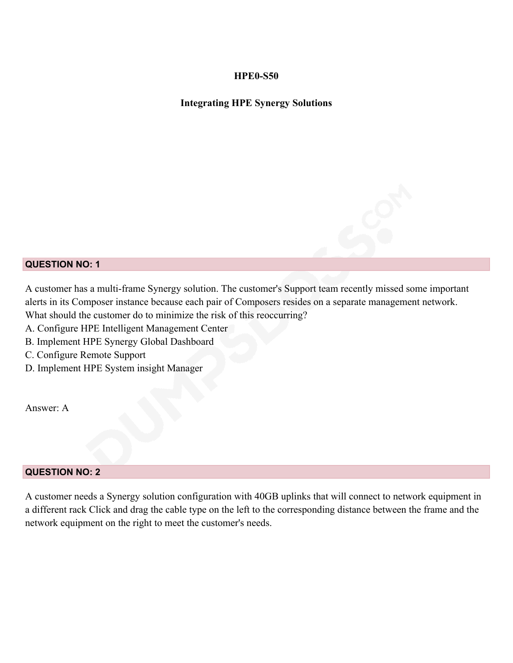#### **HPE0-S50**

#### **Integrating HPE Synergy Solutions**

#### **QUESTION NO: 1**

A customer has a multi-frame Synergy solution. The customer's Support team recently missed some important alerts in its Composer instance because each pair of Composers resides on a separate management network. What should the customer do to minimize the risk of this reoccurring?

- A. Configure HPE Intelligent Management Center
- B. Implement HPE Synergy Global Dashboard
- C. Configure Remote Support
- D. Implement HPE System insight Manager

Answer: A

#### **QUESTION NO: 2**

A customer needs a Synergy solution configuration with 40GB uplinks that will connect to network equipment in a different rack Click and drag the cable type on the left to the corresponding distance between the frame and the network equipment on the right to meet the customer's needs.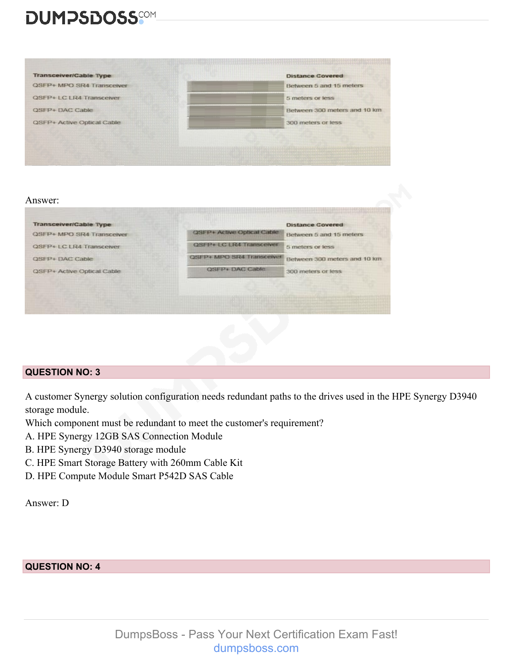## **DUMPSDOSS**SOM



#### **QUESTION NO: 3**

A customer Synergy solution configuration needs redundant paths to the drives used in the HPE Synergy D3940 storage module.

Which component must be redundant to meet the customer's requirement?

- A. HPE Synergy 12GB SAS Connection Module
- B. HPE Synergy D3940 storage module
- C. HPE Smart Storage Battery with 260mm Cable Kit
- D. HPE Compute Module Smart P542D SAS Cable

Answer: D

**QUESTION NO: 4**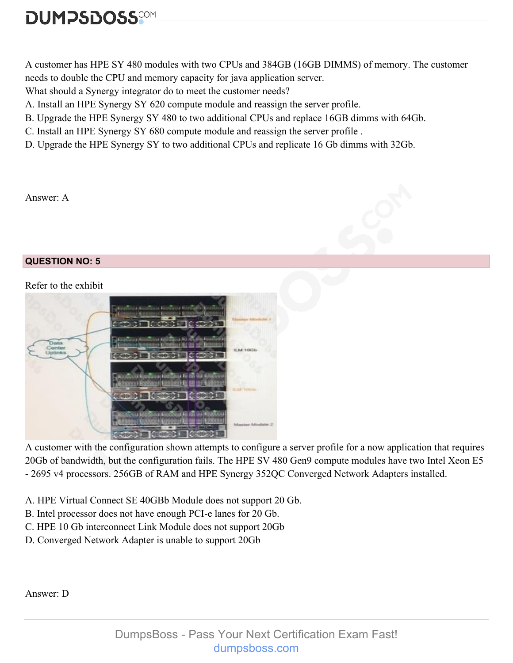# **DUMPSDOSS**

A customer has HPE SY 480 modules with two CPUs and 384GB (16GB DIMMS) of memory. The customer needs to double the CPU and memory capacity for java application server.

What should a Synergy integrator do to meet the customer needs?

A. Install an HPE Synergy SY 620 compute module and reassign the server profile.

- B. Upgrade the HPE Synergy SY 480 to two additional CPUs and replace 16GB dimms with 64Gb.
- C. Install an HPE Synergy SY 680 compute module and reassign the server profile .
- D. Upgrade the HPE Synergy SY to two additional CPUs and replicate 16 Gb dimms with 32Gb.

#### Answer: A

#### **QUESTION NO: 5**

#### Refer to the exhibit



A customer with the configuration shown attempts to configure a server profile for a now application that requires 20Gb of bandwidth, but the configuration fails. The HPE SV 480 Gen9 compute modules have two Intel Xeon E5 - 2695 v4 processors. 256GB of RAM and HPE Synergy 352QC Converged Network Adapters installed.

A. HPE Virtual Connect SE 40GBb Module does not support 20 Gb.

- B. Intel processor does not have enough PCI-e lanes for 20 Gb.
- C. HPE 10 Gb interconnect Link Module does not support 20Gb
- D. Converged Network Adapter is unable to support 20Gb

Answer: D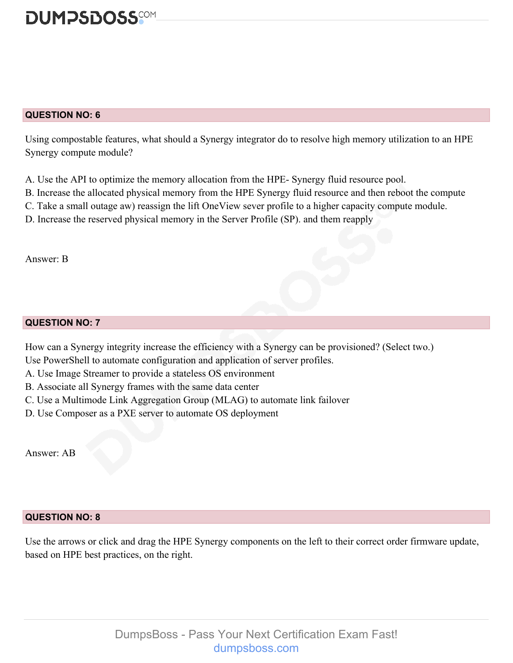

#### **QUESTION NO: 6**

Using compostable features, what should a Synergy integrator do to resolve high memory utilization to an HPE Synergy compute module?

- A. Use the API to optimize the memory allocation from the HPE- Synergy fluid resource pool.
- B. Increase the allocated physical memory from the HPE Synergy fluid resource and then reboot the compute
- C. Take a small outage aw) reassign the lift OneView sever profile to a higher capacity compute module.
- D. Increase the reserved physical memory in the Server Profile (SP). and them reapply

Answer: B

#### **QUESTION NO: 7**

How can a Synergy integrity increase the efficiency with a Synergy can be provisioned? (Select two.)

- Use PowerShell to automate configuration and application of server profiles.
- A. Use Image Streamer to provide a stateless OS environment
- B. Associate all Synergy frames with the same data center
- C. Use a Multimode Link Aggregation Group (MLAG) to automate link failover
- D. Use Composer as a PXE server to automate OS deployment

Answer: AB

#### **QUESTION NO: 8**

Use the arrows or click and drag the HPE Synergy components on the left to their correct order firmware update, based on HPE best practices, on the right.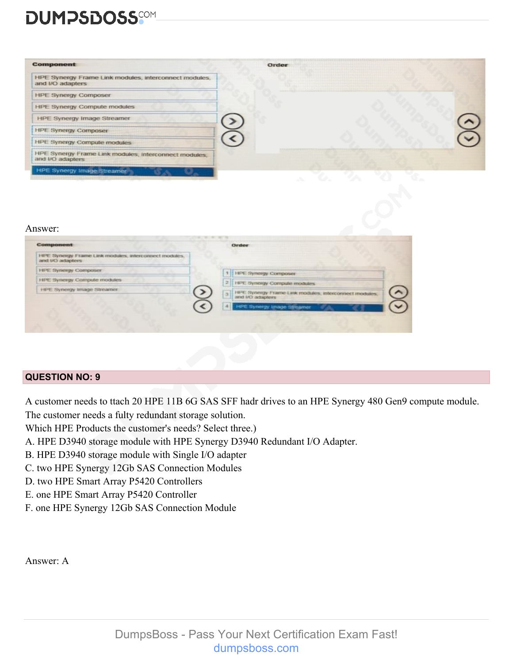# **DUMPSDOSS**

| <b>Component</b>                                                          | Order |  |
|---------------------------------------------------------------------------|-------|--|
| HPE Synergy Frame Link modules, interconnect modules,<br>and I/O adapters |       |  |
| <b>HPE Synergy Composer</b>                                               |       |  |
| <b>HPE Synergy Compute modules</b>                                        |       |  |
| <b>HPE Synergy Image Streamer</b>                                         |       |  |
| <b>HPE Synergy Composer</b>                                               |       |  |
| <b>HPE Synergy Compute modules</b>                                        |       |  |
| HPE Synergy Frame Link modules, Interconnect modules,<br>and I/O adapters |       |  |
| <b>HPE Synergy Image Streamer</b>                                         |       |  |

#### Answer:

| Component                                                                | Order                                                                          |  |
|--------------------------------------------------------------------------|--------------------------------------------------------------------------------|--|
| HPE Synergy Frame Link modules, interconnect modules.<br>and UO adapters |                                                                                |  |
| <b>HPE Synergy Composer</b>                                              | <b>HPE Synergy Composer</b>                                                    |  |
| <b>HPE Synergy Compute modules</b>                                       | 2   HPE Synergy Compute modules                                                |  |
| <b>HPE Synergy Image Streamer</b>                                        | HPE Synergy Frame Link modules, interconnect modules,<br>a<br>and I/O adapters |  |
|                                                                          | TI HPE Synergy Image Streamer                                                  |  |

#### **QUESTION NO: 9**

A customer needs to ttach 20 HPE 11B 6G SAS SFF hadr drives to an HPE Synergy 480 Gen9 compute module.

- The customer needs a fulty redundant storage solution.
- Which HPE Products the customer's needs? Select three.)
- A. HPE D3940 storage module with HPE Synergy D3940 Redundant I/O Adapter.
- B. HPE D3940 storage module with Single I/O adapter
- C. two HPE Synergy 12Gb SAS Connection Modules
- D. two HPE Smart Array P5420 Controllers
- E. one HPE Smart Array P5420 Controller
- F. one HPE Synergy 12Gb SAS Connection Module

Answer: A